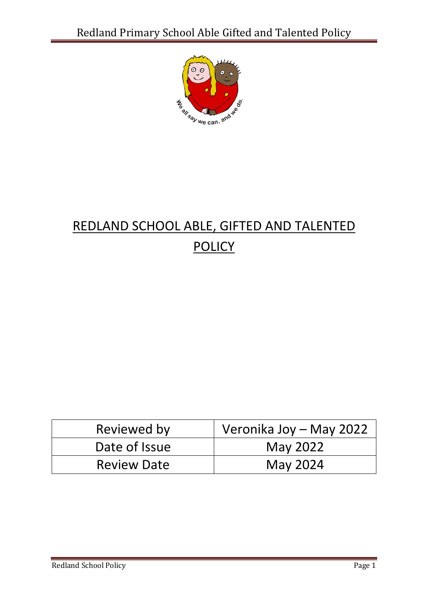

## REDLAND SCHOOL ABLE, GIFTED AND TALENTED **POLICY**

| Reviewed by        | Veronika Joy - May 2022 |
|--------------------|-------------------------|
| Date of Issue      | May 2022                |
| <b>Review Date</b> | May 2024                |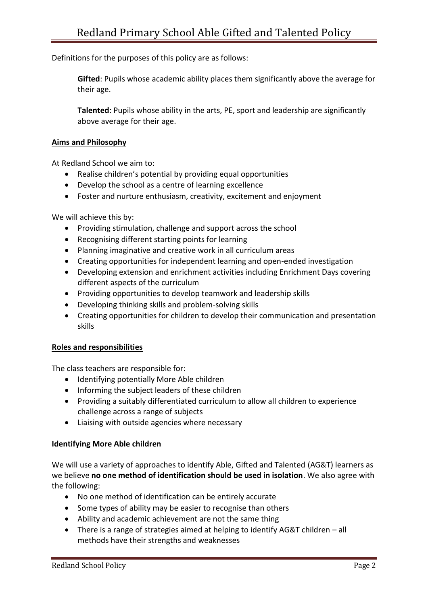Definitions for the purposes of this policy are as follows:

**Gifted**: Pupils whose academic ability places them significantly above the average for their age.

**Talented**: Pupils whose ability in the arts, PE, sport and leadership are significantly above average for their age.

## **Aims and Philosophy**

At Redland School we aim to:

- Realise children's potential by providing equal opportunities
- Develop the school as a centre of learning excellence
- Foster and nurture enthusiasm, creativity, excitement and enjoyment

We will achieve this by:

- Providing stimulation, challenge and support across the school
- Recognising different starting points for learning
- Planning imaginative and creative work in all curriculum areas
- Creating opportunities for independent learning and open-ended investigation
- Developing extension and enrichment activities including Enrichment Days covering different aspects of the curriculum
- Providing opportunities to develop teamwork and leadership skills
- Developing thinking skills and problem-solving skills
- Creating opportunities for children to develop their communication and presentation skills

## **Roles and responsibilities**

The class teachers are responsible for:

- Identifying potentially More Able children
- Informing the subject leaders of these children
- Providing a suitably differentiated curriculum to allow all children to experience challenge across a range of subjects
- Liaising with outside agencies where necessary

## **Identifying More Able children**

We will use a variety of approaches to identify Able, Gifted and Talented (AG&T) learners as we believe **no one method of identification should be used in isolation**. We also agree with the following:

- No one method of identification can be entirely accurate
- Some types of ability may be easier to recognise than others
- Ability and academic achievement are not the same thing
- There is a range of strategies aimed at helping to identify AG&T children all methods have their strengths and weaknesses